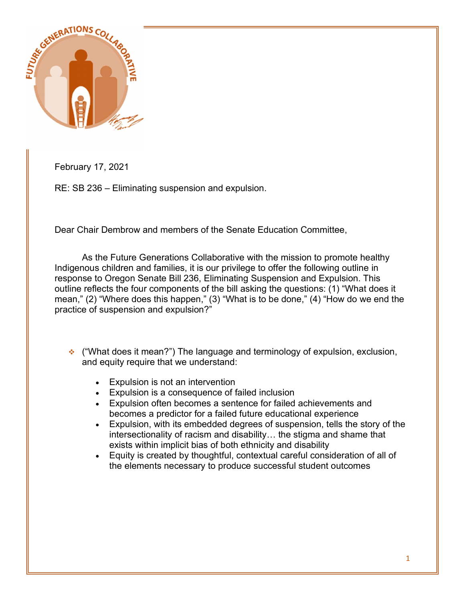

February 17, 2021

RE: SB 236 – Eliminating suspension and expulsion.

Dear Chair Dembrow and members of the Senate Education Committee,

As the Future Generations Collaborative with the mission to promote healthy Indigenous children and families, it is our privilege to offer the following outline in response to Oregon Senate Bill 236, Eliminating Suspension and Expulsion. This outline reflects the four components of the bill asking the questions: (1) "What does it mean," (2) "Where does this happen," (3) "What is to be done," (4) "How do we end the practice of suspension and expulsion?"

- $\cdot$  ("What does it mean?") The language and terminology of expulsion, exclusion, and equity require that we understand:
	- Expulsion is not an intervention
	- Expulsion is a consequence of failed inclusion
	- Expulsion often becomes a sentence for failed achievements and becomes a predictor for a failed future educational experience
	- Expulsion, with its embedded degrees of suspension, tells the story of the intersectionality of racism and disability… the stigma and shame that exists within implicit bias of both ethnicity and disability
	- Equity is created by thoughtful, contextual careful consideration of all of the elements necessary to produce successful student outcomes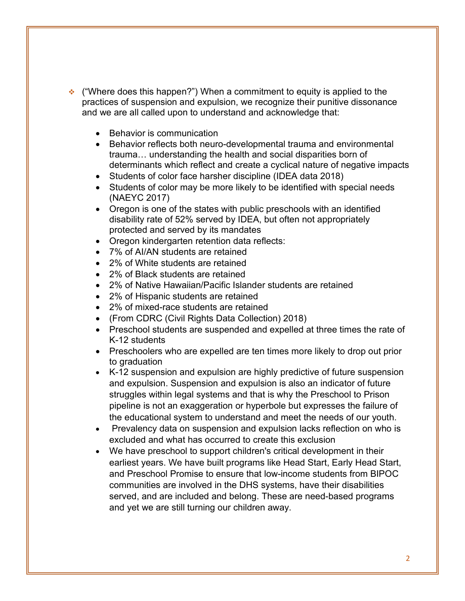- $\cdot$  ("Where does this happen?") When a commitment to equity is applied to the practices of suspension and expulsion, we recognize their punitive dissonance and we are all called upon to understand and acknowledge that:
	- Behavior is communication
	- Behavior reflects both neuro-developmental trauma and environmental trauma… understanding the health and social disparities born of determinants which reflect and create a cyclical nature of negative impacts
	- Students of color face harsher discipline (IDEA data 2018)
	- Students of color may be more likely to be identified with special needs (NAEYC 2017)
	- Oregon is one of the states with public preschools with an identified disability rate of 52% served by IDEA, but often not appropriately protected and served by its mandates
	- Oregon kindergarten retention data reflects:
	- 7% of AI/AN students are retained
	- 2% of White students are retained
	- 2% of Black students are retained
	- 2% of Native Hawaiian/Pacific Islander students are retained
	- 2% of Hispanic students are retained
	- 2% of mixed-race students are retained
	- (From CDRC (Civil Rights Data Collection) 2018)
	- Preschool students are suspended and expelled at three times the rate of K-12 students
	- Preschoolers who are expelled are ten times more likely to drop out prior to graduation
	- K-12 suspension and expulsion are highly predictive of future suspension and expulsion. Suspension and expulsion is also an indicator of future struggles within legal systems and that is why the Preschool to Prison pipeline is not an exaggeration or hyperbole but expresses the failure of the educational system to understand and meet the needs of our youth.
	- Prevalency data on suspension and expulsion lacks reflection on who is excluded and what has occurred to create this exclusion
	- We have preschool to support children's critical development in their earliest years. We have built programs like Head Start, Early Head Start, and Preschool Promise to ensure that low-income students from BIPOC communities are involved in the DHS systems, have their disabilities served, and are included and belong. These are need-based programs and yet we are still turning our children away.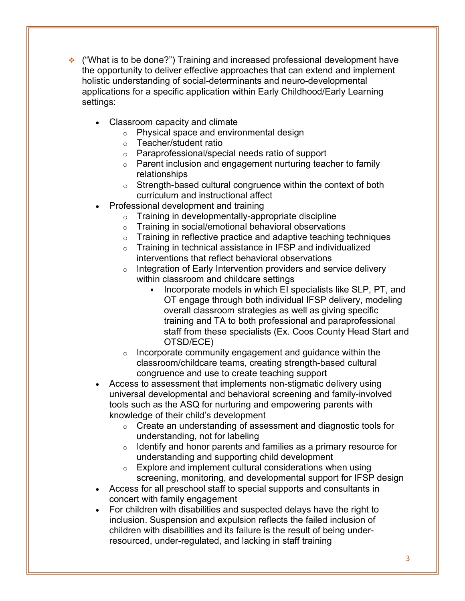- ("What is to be done?") Training and increased professional development have the opportunity to deliver effective approaches that can extend and implement holistic understanding of social-determinants and neuro-developmental applications for a specific application within Early Childhood/Early Learning settings:
	- Classroom capacity and climate
		- o Physical space and environmental design
		- o Teacher/student ratio
		- o Paraprofessional/special needs ratio of support
		- o Parent inclusion and engagement nurturing teacher to family relationships
		- o Strength-based cultural congruence within the context of both curriculum and instructional affect
	- Professional development and training
		- o Training in developmentally-appropriate discipline
		- o Training in social/emotional behavioral observations
		- $\circ$  Training in reflective practice and adaptive teaching techniques
		- o Training in technical assistance in IFSP and individualized interventions that reflect behavioral observations
		- o Integration of Early Intervention providers and service delivery within classroom and childcare settings
			- Incorporate models in which EI specialists like SLP, PT, and OT engage through both individual IFSP delivery, modeling overall classroom strategies as well as giving specific training and TA to both professional and paraprofessional staff from these specialists (Ex. Coos County Head Start and OTSD/ECE)
		- o Incorporate community engagement and guidance within the classroom/childcare teams, creating strength-based cultural congruence and use to create teaching support
	- Access to assessment that implements non-stigmatic delivery using universal developmental and behavioral screening and family-involved tools such as the ASQ for nurturing and empowering parents with knowledge of their child's development
		- o Create an understanding of assessment and diagnostic tools for understanding, not for labeling
		- o Identify and honor parents and families as a primary resource for understanding and supporting child development
		- $\circ$  Explore and implement cultural considerations when using screening, monitoring, and developmental support for IFSP design
	- Access for all preschool staff to special supports and consultants in concert with family engagement
	- For children with disabilities and suspected delays have the right to inclusion. Suspension and expulsion reflects the failed inclusion of children with disabilities and its failure is the result of being underresourced, under-regulated, and lacking in staff training